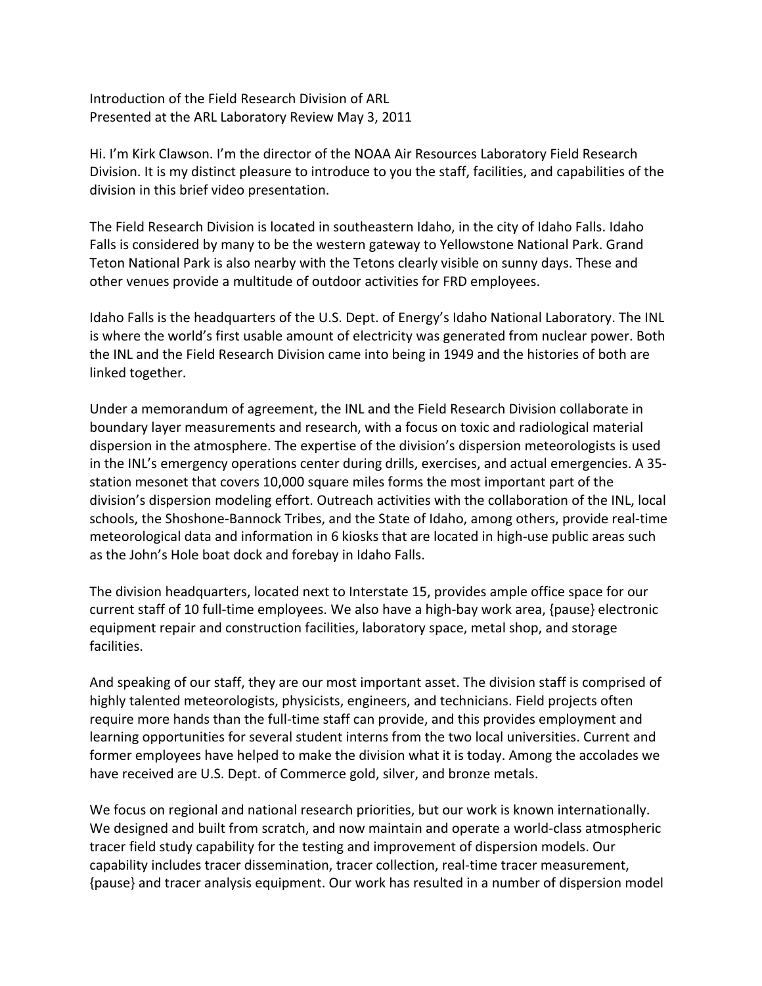Introduction of the Field Research Division of ARL Presented at the ARL Laboratory Review May 3, 2011

Hi. I'm Kirk Clawson. I'm the director of the NOAA Air Resources Laboratory Field Research Division. It is my distinct pleasure to introduce to you the staff, facilities, and capabilities of the division in this brief video presentation.

The Field Research Division is located in southeastern Idaho, in the city of Idaho Falls. Idaho Falls is considered by many to be the western gateway to Yellowstone National Park. Grand Teton National Park is also nearby with the Tetons clearly visible on sunny days. These and other venues provide a multitude of outdoor activities for FRD employees.

Idaho Falls is the headquarters of the U.S. Dept. of Energy's Idaho National Laboratory. The INL is where the world's first usable amount of electricity was generated from nuclear power. Both the INL and the Field Research Division came into being in 1949 and the histories of both are linked together.

Under a memorandum of agreement, the INL and the Field Research Division collaborate in boundary layer measurements and research, with a focus on toxic and radiological material dispersion in the atmosphere. The expertise of the division's dispersion meteorologists is used in the INL's emergency operations center during drills, exercises, and actual emergencies. A 35‐ station mesonet that covers 10,000 square miles forms the most important part of the division's dispersion modeling effort. Outreach activities with the collaboration of the INL, local schools, the Shoshone‐Bannock Tribes, and the State of Idaho, among others, provide real‐time meteorological data and information in 6 kiosks that are located in high‐use public areas such as the John's Hole boat dock and forebay in Idaho Falls.

The division headquarters, located next to Interstate 15, provides ample office space for our current staff of 10 full-time employees. We also have a high-bay work area, {pause} electronic equipment repair and construction facilities, laboratory space, metal shop, and storage facilities.

And speaking of our staff, they are our most important asset. The division staff is comprised of highly talented meteorologists, physicists, engineers, and technicians. Field projects often require more hands than the full‐time staff can provide, and this provides employment and learning opportunities for several student interns from the two local universities. Current and former employees have helped to make the division what it is today. Among the accolades we have received are U.S. Dept. of Commerce gold, silver, and bronze metals.

We focus on regional and national research priorities, but our work is known internationally. We designed and built from scratch, and now maintain and operate a world-class atmospheric tracer field study capability for the testing and improvement of dispersion models. Our capability includes tracer dissemination, tracer collection, real-time tracer measurement, {pause} and tracer analysis equipment. Our work has resulted in a number of dispersion model